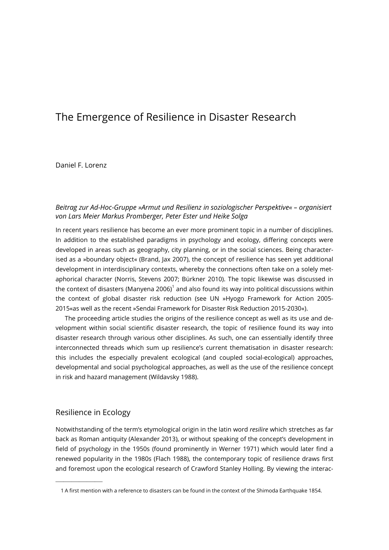# The Emergence of Resilience in Disaster Research

Daniel F. Lorenz

### Beitrag zur Ad-Hoc-Gruppe »Armut und Resilienz in soziologischer Perspektive« – organisiert von Lars Meier Markus Promberger, Peter Ester und Heike Solga

In recent years resilience has become an ever more prominent topic in a number of disciplines. In addition to the established paradigms in psychology and ecology, differing concepts were developed in areas such as geography, city planning, or in the social sciences. Being characterised as a »boundary object« (Brand, Jax 2007), the concept of resilience has seen yet additional development in interdisciplinary contexts, whereby the connections often take on a solely metaphorical character (Norris, Stevens 2007; Bürkner 2010). The topic likewise was discussed in the context of disasters (Manyena 2006) $^{\text{1}}$  and also found its way into political discussions within the context of global disaster risk reduction (see UN »Hyogo Framework for Action 2005- 2015«as well as the recent »Sendai Framework for Disaster Risk Reduction 2015-2030«).

The proceeding article studies the origins of the resilience concept as well as its use and development within social scientific disaster research, the topic of resilience found its way into disaster research through various other disciplines. As such, one can essentially identify three interconnected threads which sum up resilience's current thematisation in disaster research: this includes the especially prevalent ecological (and coupled social-ecological) approaches, developmental and social psychological approaches, as well as the use of the resilience concept in risk and hazard management (Wildavsky 1988).

### Resilience in Ecology

——————

Notwithstanding of the term's etymological origin in the latin word resilire which stretches as far back as Roman antiquity (Alexander 2013), or without speaking of the concept's development in field of psychology in the 1950s (found prominently in Werner 1971) which would later find a renewed popularity in the 1980s (Flach 1988), the contemporary topic of resilience draws first and foremost upon the ecological research of Crawford Stanley Holling. By viewing the interac-

 <sup>1</sup> A first mention with a reference to disasters can be found in the context of the Shimoda Earthquake 1854.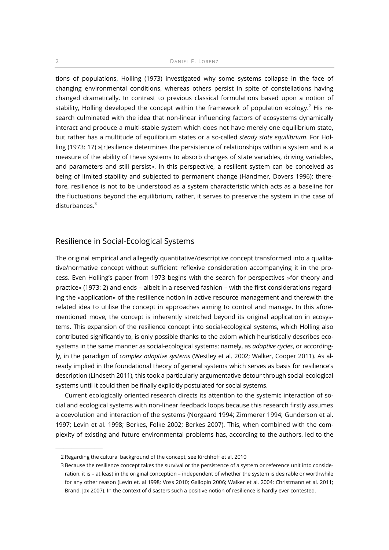tions of populations, Holling (1973) investigated why some systems collapse in the face of changing environmental conditions, whereas others persist in spite of constellations having changed dramatically. In contrast to previous classical formulations based upon a notion of stability, Holling developed the concept within the framework of population ecology. $^2$  His research culminated with the idea that non-linear influencing factors of ecosystems dynamically interact and produce a multi-stable system which does not have merely one equilibrium state, but rather has a multitude of equilibrium states or a so-called steady state equilibrium. For Holling (1973: 17) »[r]esilience determines the persistence of relationships within a system and is a measure of the ability of these systems to absorb changes of state variables, driving variables, and parameters and still persist«. In this perspective, a resilient system can be conceived as being of limited stability and subjected to permanent change (Handmer, Dovers 1996): therefore, resilience is not to be understood as a system characteristic which acts as a baseline for the fluctuations beyond the equilibrium, rather, it serves to preserve the system in the case of disturbances.<sup>3</sup>

### Resilience in Social-Ecological Systems

The original empirical and allegedly quantitative/descriptive concept transformed into a qualitative/normative concept without sufficient reflexive consideration accompanying it in the process. Even Holling's paper from 1973 begins with the search for perspectives »for theory and practice« (1973: 2) and ends – albeit in a reserved fashion – with the first considerations regarding the »application« of the resilience notion in active resource management and therewith the related idea to utilise the concept in approaches aiming to control and manage. In this aforementioned move, the concept is inherently stretched beyond its original application in ecosystems. This expansion of the resilience concept into social-ecological systems, which Holling also contributed significantly to, is only possible thanks to the axiom which heuristically describes ecosystems in the same manner as social-ecological systems: namely, as *adaptive cycles*, or accordingly, in the paradigm of complex adaptive systems (Westley et al. 2002; Walker, Cooper 2011). As already implied in the foundational theory of general systems which serves as basis for resilience's description (Lindseth 2011), this took a particularly argumentative detour through social-ecological systems until it could then be finally explicitly postulated for social systems.

Current ecologically oriented research directs its attention to the systemic interaction of social and ecological systems with non-linear feedback loops because this research firstly assumes a coevolution and interaction of the systems (Norgaard 1994; Zimmerer 1994; Gunderson et al. 1997; Levin et al. 1998; Berkes, Folke 2002; Berkes 2007). This, when combined with the complexity of existing and future environmental problems has, according to the authors, led to the

——————

 <sup>2</sup> Regarding the cultural background of the concept, see Kirchhoff et al. 2010

 <sup>3</sup> Because the resilience concept takes the survival or the persistence of a system or reference unit into consideration, it is – at least in the original conception – independent of whether the system is desirable or worthwhile for any other reason (Levin et. al 1998; Voss 2010; Gallopin 2006; Walker et al. 2004; Christmann et al. 2011; Brand, Jax 2007). In the context of disasters such a positive notion of resilience is hardly ever contested.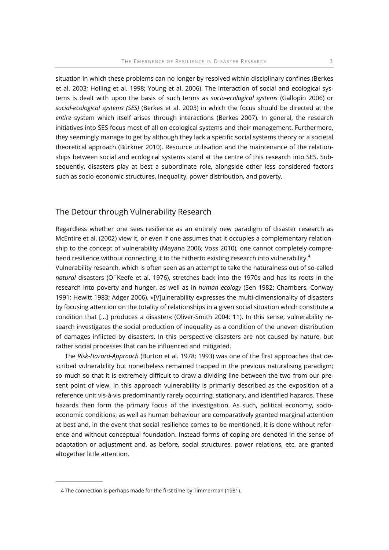situation in which these problems can no longer by resolved within disciplinary confines (Berkes et al. 2003; Holling et al. 1998; Young et al. 2006). The interaction of social and ecological systems is dealt with upon the basis of such terms as socio-ecological systems (Gallopín 2006) or social-ecological systems (SES) (Berkes et al. 2003) in which the focus should be directed at the entire system which itself arises through interactions (Berkes 2007). In general, the research initiatives into SES focus most of all on ecological systems and their management. Furthermore, they seemingly manage to get by although they lack a specific social systems theory or a societal theoretical approach (Bürkner 2010). Resource utilisation and the maintenance of the relationships between social and ecological systems stand at the centre of this research into SES. Subsequently, disasters play at best a subordinate role, alongside other less considered factors such as socio-economic structures, inequality, power distribution, and poverty.

### The Detour through Vulnerability Research

Regardless whether one sees resilience as an entirely new paradigm of disaster research as McEntire et al. (2002) view it, or even if one assumes that it occupies a complementary relationship to the concept of vulnerability (Mayana 2006; Voss 2010), one cannot completely comprehend resilience without connecting it to the hitherto existing research into vulnerability.<sup>4</sup>

Vulnerability research, which is often seen as an attempt to take the naturalness out of so-called natural disasters (O'Keefe et al. 1976), stretches back into the 1970s and has its roots in the research into poverty and hunger, as well as in human ecology (Sen 1982; Chambers, Conway 1991; Hewitt 1983; Adger 2006). »[V]ulnerability expresses the multi-dimensionality of disasters by focusing attention on the totality of relationships in a given social situation which constitute a condition that […] produces a disaster« (Oliver-Smith 2004: 11). In this sense, vulnerability research investigates the social production of inequality as a condition of the uneven distribution of damages inflicted by disasters. In this perspective disasters are not caused by nature, but rather social processes that can be influenced and mitigated.

The Risk-Hazard-Approach (Burton et al. 1978; 1993) was one of the first approaches that described vulnerability but nonetheless remained trapped in the previous naturalising paradigm; so much so that it is extremely difficult to draw a dividing line between the two from our present point of view. In this approach vulnerability is primarily described as the exposition of a reference unit vis-à-vis predominantly rarely occurring, stationary, and identified hazards. These hazards then form the primary focus of the investigation. As such, political economy, socioeconomic conditions, as well as human behaviour are comparatively granted marginal attention at best and, in the event that social resilience comes to be mentioned, it is done without reference and without conceptual foundation. Instead forms of coping are denoted in the sense of adaptation or adjustment and, as before, social structures, power relations, etc. are granted altogether little attention.

——————

 <sup>4</sup> The connection is perhaps made for the first time by Timmerman (1981).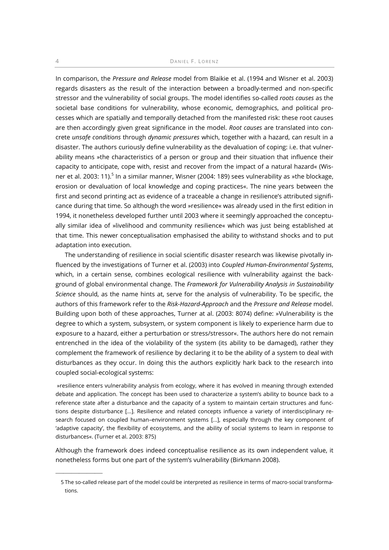#### 4 DANIEL F. LORENZ

In comparison, the Pressure and Release model from Blaikie et al. (1994 and Wisner et al. 2003) regards disasters as the result of the interaction between a broadly-termed and non-specific stressor and the vulnerability of social groups. The model identifies so-called roots causes as the societal base conditions for vulnerability, whose economic, demographics, and political processes which are spatially and temporally detached from the manifested risk: these root causes are then accordingly given great significance in the model. Root causes are translated into concrete unsafe conditions through dynamic pressures which, together with a hazard, can result in a disaster. The authors curiously define vulnerability as the devaluation of coping: i.e. that vulnerability means »the characteristics of a person or group and their situation that influence their capacity to anticipate, cope with, resist and recover from the impact of a natural hazard« (Wisner et al. 2003: 11).<sup>5</sup> In a similar manner, Wisner (2004: 189) sees vulnerability as »the blockage, erosion or devaluation of local knowledge and coping practices«. The nine years between the first and second printing act as evidence of a traceable a change in resilience's attributed significance during that time. So although the word »resilience« was already used in the first edition in 1994, it nonetheless developed further until 2003 where it seemingly approached the conceptually similar idea of »livelihood and community resilience« which was just being established at that time. This newer conceptualisation emphasised the ability to withstand shocks and to put adaptation into execution.

The understanding of resilience in social scientific disaster research was likewise pivotally influenced by the investigations of Turner et al. (2003) into Coupled Human-Environmental Systems, which, in a certain sense, combines ecological resilience with vulnerability against the background of global environmental change. The Framework for Vulnerability Analysis in Sustainability Science should, as the name hints at, serve for the analysis of vulnerability. To be specific, the authors of this framework refer to the Risk-Hazard-Approach and the Pressure and Release model. Building upon both of these approaches, Turner at al. (2003: 8074) define: »Vulnerability is the degree to which a system, subsystem, or system component is likely to experience harm due to exposure to a hazard, either a perturbation or stress/stressor«. The authors here do not remain entrenched in the idea of the violability of the system (its ability to be damaged), rather they complement the framework of resilience by declaring it to be the ability of a system to deal with disturbances as they occur. In doing this the authors explicitly hark back to the research into coupled social-ecological systems:

 »resilience enters vulnerability analysis from ecology, where it has evolved in meaning through extended debate and application. The concept has been used to characterize a system's ability to bounce back to a reference state after a disturbance and the capacity of a system to maintain certain structures and functions despite disturbance […]. Resilience and related concepts influence a variety of interdisciplinary research focused on coupled human–environment systems [...], especially through the key component of 'adaptive capacity', the flexibility of ecosystems, and the ability of social systems to learn in response to disturbances«. (Turner et al. 2003: 875)

Although the framework does indeed conceptualise resilience as its own independent value, it nonetheless forms but one part of the system's vulnerability (Birkmann 2008).

——————

 <sup>5</sup> The so-called release part of the model could be interpreted as resilience in terms of macro-social transformations.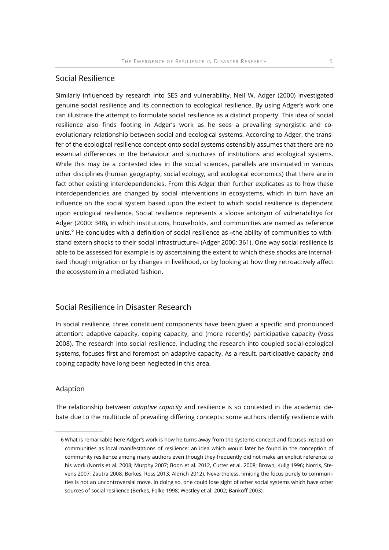# Social Resilience

Similarly influenced by research into SES and vulnerability, Neil W. Adger (2000) investigated genuine social resilience and its connection to ecological resilience. By using Adger's work one can illustrate the attempt to formulate social resilience as a distinct property. This idea of social resilience also finds footing in Adger's work as he sees a prevailing synergistic and coevolutionary relationship between social and ecological systems. According to Adger, the transfer of the ecological resilience concept onto social systems ostensibly assumes that there are no essential differences in the behaviour and structures of institutions and ecological systems. While this may be a contested idea in the social sciences, parallels are insinuated in various other disciplines (human geography, social ecology, and ecological economics) that there are in fact other existing interdependencies. From this Adger then further explicates as to how these interdependencies are changed by social interventions in ecosystems, which in turn have an influence on the social system based upon the extent to which social resilience is dependent upon ecological resilience. Social resilience represents a »loose antonym of vulnerability« for Adger (2000: 348), in which institutions, households, and communities are named as reference units. $^6$  He concludes with a definition of social resilience as »the ability of communities to withstand extern shocks to their social infrastructure« (Adger 2000: 361). One way social resilience is able to be assessed for example is by ascertaining the extent to which these shocks are internalised though migration or by changes in livelihood, or by looking at how they retroactively affect the ecosystem in a mediated fashion.

## Social Resilience in Disaster Research

In social resilience, three constituent components have been given a specific and pronounced attention: adaptive capacity, coping capacity, and (more recently) participative capacity (Voss 2008). The research into social resilience, including the research into coupled social-ecological systems, focuses first and foremost on adaptive capacity. As a result, participative capacity and coping capacity have long been neglected in this area.

#### Adaption

——————

The relationship between *adaptive capacity* and resilience is so contested in the academic debate due to the multitude of prevailing differing concepts: some authors identify resilience with

 <sup>6</sup> What is remarkable here Adger's work is how he turns away from the systems concept and focuses instead on communities as local manifestations of resilience: an idea which would later be found in the conception of community resilience among many authors even though they frequently did not make an explicit reference to his work (Norris et al. 2008; Murphy 2007; Boon et al. 2012, Cutter et al. 2008; Brown, Kulig 1996; Norris, Stevens 2007; Zautra 2008; Berkes, Ross 2013; Aldrich 2012). Nevertheless, limiting the focus purely to communities is not an uncontroversial move. In doing so, one could lose sight of other social systems which have other sources of social resilience (Berkes, Folke 1998; Westley et al. 2002; Bankoff 2003).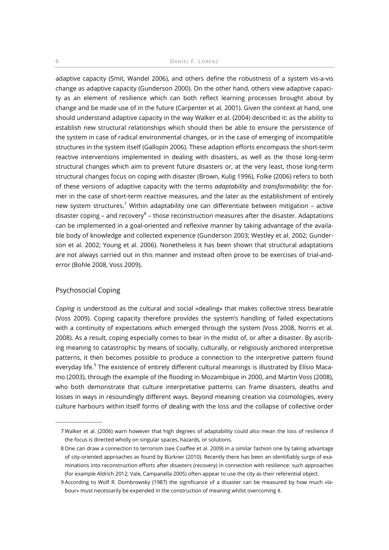adaptive capacity (Smit, Wandel 2006), and others define the robustness of a system vis-a-vis change as adaptive capacity (Gunderson 2000). On the other hand, others view adaptive capacity as an element of resilience which can both reflect learning processes brought about by change and be made use of in the future (Carpenter et al. 2001). Given the context at hand, one should understand adaptive capacity in the way Walker et al. (2004) described it: as the ability to establish new structural relationships which should then be able to ensure the persistence of the system in case of radical environmental changes, or in the case of emerging of incompatible structures in the system itself (Gallopín 2006). These adaption efforts encompass the short-term reactive interventions implemented in dealing with disasters, as well as the those long-term structural changes which aim to prevent future disasters or, at the very least, those long-term structural changes focus on coping with disaster (Brown, Kulig 1996). Folke (2006) refers to both of these versions of adaptive capacity with the terms *adaptability* and *transformability*: the former in the case of short-term reactive measures, and the later as the establishment of entirely new system structures.<sup>7</sup> Within adaptability one can differentiate between mitigation – active disaster coping – and recovery<sup>8</sup> – those reconstruction measures after the disaster. Adaptations can be implemented in a goal-oriented and reflexive manner by taking advantage of the available body of knowledge and collected experience (Gunderson 2003; Westley et al. 2002; Gunderson et al. 2002; Young et al. 2006). Nonetheless it has been shown that structural adaptations are not always carried out in this manner and instead often prove to be exercises of trial-anderror (Bohle 2008, Voss 2009).

#### Psychosocial Coping

——————

Coping is understood as the cultural and social »dealing« that makes collective stress bearable (Voss 2009). Coping capacity therefore provides the system's handling of failed expectations with a continuity of expectations which emerged through the system (Voss 2008, Norris et al. 2008). As a result, coping especially comes to bear in the midst of, or after a disaster. By ascribing meaning to catastrophic by means of socially, culturally, or religiously anchored interpretive patterns, it then becomes possible to produce a connection to the interpretive pattern found everyday life.<sup>9</sup> The existence of entirely different cultural meanings is illustrated by Elísio Macamo (2003), through the example of the flooding in Mozambique in 2000, and Martin Voss (2008), who both demonstrate that culture interpretative patterns can frame disasters, deaths and losses in ways in resoundingly different ways. Beyond meaning creation via cosmologies, every culture harbours within itself forms of dealing with the loss and the collapse of collective order

 <sup>7</sup> Walker et al. (2006) warn however that high degrees of adaptability could also mean the loss of resilience if the focus is directed wholly on singular spaces, hazards, or solutions.

 <sup>8</sup> One can draw a connection to terrorism (see Coaffee et al. 2009) in a similar fashion one by taking advantage of city-oriented approaches as found by Bürkner (2010). Recently there has been an identifiably surge of examinations into reconstruction efforts after disasters (recovery) in connection with resilience: such approaches (for example Aldrich 2012; Vale, Campanella 2005) often appear to use the city as their referential object.

 <sup>9</sup> According to Wolf R. Dombrowsky (1987) the significance of a disaster can be measured by how much »labour« must necessarily be expended in the construction of meaning whilst overcoming it.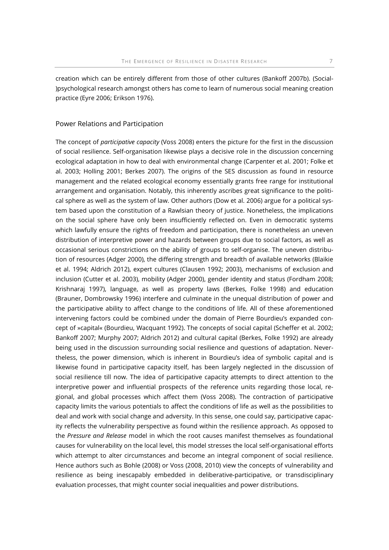creation which can be entirely different from those of other cultures (Bankoff 2007b). (Social- )psychological research amongst others has come to learn of numerous social meaning creation practice (Eyre 2006; Erikson 1976).

#### Power Relations and Participation

The concept of *participative capacity* (Voss 2008) enters the picture for the first in the discussion of social resilience. Self-organisation likewise plays a decisive role in the discussion concerning ecological adaptation in how to deal with environmental change (Carpenter et al. 2001; Folke et al. 2003; Holling 2001; Berkes 2007). The origins of the SES discussion as found in resource management and the related ecological economy essentially grants free range for institutional arrangement and organisation. Notably, this inherently ascribes great significance to the political sphere as well as the system of law. Other authors (Dow et al. 2006) argue for a political system based upon the constitution of a Rawlsian theory of justice. Nonetheless, the implications on the social sphere have only been insufficiently reflected on. Even in democratic systems which lawfully ensure the rights of freedom and participation, there is nonetheless an uneven distribution of interpretive power and hazards between groups due to social factors, as well as occasional serious constrictions on the ability of groups to self-organise. The uneven distribution of resources (Adger 2000), the differing strength and breadth of available networks (Blaikie et al. 1994; Aldrich 2012), expert cultures (Clausen 1992; 2003), mechanisms of exclusion and inclusion (Cutter et al. 2003), mobility (Adger 2000), gender identity and status (Fordham 2008; Krishnaraj 1997), language, as well as property laws (Berkes, Folke 1998) and education (Brauner, Dombrowsky 1996) interfere and culminate in the unequal distribution of power and the participative ability to affect change to the conditions of life. All of these aforementioned intervening factors could be combined under the domain of Pierre Bourdieu's expanded concept of »capital« (Bourdieu, Wacquant 1992). The concepts of social capital (Scheffer et al. 2002; Bankoff 2007; Murphy 2007; Aldrich 2012) and cultural capital (Berkes, Folke 1992) are already being used in the discussion surrounding social resilience and questions of adaptation. Nevertheless, the power dimension, which is inherent in Bourdieu's idea of symbolic capital and is likewise found in participative capacity itself, has been largely neglected in the discussion of social resilience till now. The idea of participative capacity attempts to direct attention to the interpretive power and influential prospects of the reference units regarding those local, regional, and global processes which affect them (Voss 2008). The contraction of participative capacity limits the various potentials to affect the conditions of life as well as the possibilities to deal and work with social change and adversity. In this sense, one could say, participative capacity reflects the vulnerability perspective as found within the resilience approach. As opposed to the Pressure and Release model in which the root causes manifest themselves as foundational causes for vulnerability on the local level, this model stresses the local self-organisational efforts which attempt to alter circumstances and become an integral component of social resilience. Hence authors such as Bohle (2008) or Voss (2008, 2010) view the concepts of vulnerability and resilience as being inescapably embedded in deliberative-participative, or transdisciplinary evaluation processes, that might counter social inequalities and power distributions.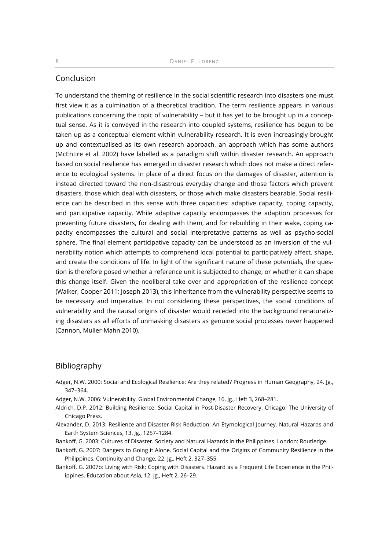### Conclusion

To understand the theming of resilience in the social scientific research into disasters one must first view it as a culmination of a theoretical tradition. The term resilience appears in various publications concerning the topic of vulnerability – but it has yet to be brought up in a conceptual sense. As it is conveyed in the research into coupled systems, resilience has begun to be taken up as a conceptual element within vulnerability research. It is even increasingly brought up and contextualised as its own research approach, an approach which has some authors (McEntire et al. 2002) have labelled as a paradigm shift within disaster research. An approach based on social resilience has emerged in disaster research which does not make a direct reference to ecological systems. In place of a direct focus on the damages of disaster, attention is instead directed toward the non-disastrous everyday change and those factors which prevent disasters, those which deal with disasters, or those which make disasters bearable. Social resilience can be described in this sense with three capacities: adaptive capacity, coping capacity, and participative capacity. While adaptive capacity encompasses the adaption processes for preventing future disasters, for dealing with them, and for rebuilding in their wake, coping capacity encompasses the cultural and social interpretative patterns as well as psycho-social sphere. The final element participative capacity can be understood as an inversion of the vulnerability notion which attempts to comprehend local potential to participatively affect, shape, and create the conditions of life. In light of the significant nature of these potentials, the question is therefore posed whether a reference unit is subjected to change, or whether it can shape this change itself. Given the neoliberal take over and appropriation of the resilience concept (Walker, Cooper 2011; Joseph 2013), this inheritance from the vulnerability perspective seems to be necessary and imperative. In not considering these perspectives, the social conditions of vulnerability and the causal origins of disaster would receded into the background renaturalizing disasters as all efforts of unmasking disasters as genuine social processes never happened (Cannon, Müller-Mahn 2010).

#### Bibliography

- Adger, N.W. 2000: Social and Ecological Resilience: Are they related? Progress in Human Geography, 24. Jg., 347–364.
- Adger, N.W. 2006: Vulnerability. Global Environmental Change, 16. Jg., Heft 3, 268–281.
- Aldrich, D.P. 2012: Building Resilience. Social Capital in Post-Disaster Recovery. Chicago: The University of Chicago Press.
- Alexander, D. 2013: Resilience and Disaster Risk Reduction: An Etymological Journey. Natural Hazards and Earth System Sciences, 13. Jg., 1257–1284.
- Bankoff, G. 2003: Cultures of Disaster. Society and Natural Hazards in the Philippines. London: Routledge.
- Bankoff, G. 2007: Dangers to Going it Alone. Social Capital and the Origins of Community Resilience in the Philippines. Continuity and Change, 22. Jg., Heft 2, 327–355.
- Bankoff, G. 2007b: Living with Risk; Coping with Disasters. Hazard as a Frequent Life Experience in the Philippines. Education about Asia, 12. Jg., Heft 2, 26–29.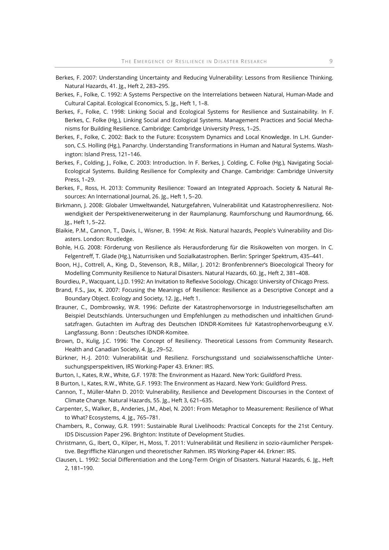- Berkes, F. 2007: Understanding Uncertainty and Reducing Vulnerability: Lessons from Resilience Thinking. Natural Hazards, 41. Jg., Heft 2, 283–295.
- Berkes, F., Folke, C. 1992: A Systems Perspective on the Interrelations between Natural, Human-Made and Cultural Capital. Ecological Economics, 5. Jg., Heft 1, 1–8.
- Berkes, F., Folke, C. 1998: Linking Social and Ecological Systems for Resilience and Sustainability. In F. Berkes, C. Folke (Hg.), Linking Social and Ecological Systems. Management Practices and Social Mechanisms for Building Resilience. Cambridge: Cambridge University Press, 1–25.
- Berkes, F., Folke, C. 2002: Back to the Future: Ecosystem Dynamics and Local Knowledge. In L.H. Gunderson, C.S. Holling (Hg.), Panarchy. Understanding Transformations in Human and Natural Systems. Washington: Island Press, 121–146.
- Berkes, F., Colding, J., Folke, C. 2003: Introduction. In F. Berkes, J. Colding, C. Folke (Hg.), Navigating Social-Ecological Systems. Building Resilience for Complexity and Change. Cambridge: Cambridge University Press, 1–29.
- Berkes, F., Ross, H. 2013: Community Resilience: Toward an Integrated Approach. Society & Natural Resources: An International Journal, 26. Jg., Heft 1, 5–20.
- Birkmann, J. 2008: Globaler Umweltwandel, Naturgefahren, Vulnerabilität und Katastrophenresilienz. Notwendigkeit der Perspektivenerweiterung in der Raumplanung. Raumforschung und Raumordnung, 66. Jg., Heft 1, 5–22.
- Blaikie, P.M., Cannon, T., Davis, I., Wisner, B. 1994: At Risk. Natural hazards, People's Vulnerability and Disasters. London: Routledge.
- Bohle, H.G. 2008: Förderung von Resilience als Herausforderung für die Risikowelten von morgen. In C. Felgentreff, T. Glade (Hg.), Naturrisiken und Sozialkatastrophen. Berlin: Springer Spektrum, 435–441.
- Boon, H.J., Cottrell, A., King, D., Stevenson, R.B., Millar, J. 2012: Bronfenbrenner's Bioecological Theory for Modelling Community Resilience to Natural Disasters. Natural Hazards, 60. Jg., Heft 2, 381–408.
- Bourdieu, P., Wacquant, L.J.D. 1992: An Invitation to Reflexive Sociology. Chicago: University of Chicago Press.
- Brand, F.S., Jax, K. 2007: Focusing the Meanings of Resilience: Resilience as a Descriptive Concept and a Boundary Object. Ecology and Society, 12. Jg., Heft 1.
- Brauner, C., Dombrowsky, W.R. 1996: Defizite der Katastrophenvorsorge in Industriegesellschaften am Beispiel Deutschlands. Untersuchungen und Empfehlungen zu methodischen und inhaltlichen Grundsatzfragen. Gutachten im Auftrag des Deutschen IDNDR-Komitees für Katastrophenvorbeugung e.V. Langfassung. Bonn : Deutsches IDNDR-Komitee.
- Brown, D., Kulig, J.C. 1996: The Concept of Resiliency. Theoretical Lessons from Community Research. Health and Canadian Society, 4. Jg., 29–52.
- Bürkner, H.-J. 2010: Vulnerabilität und Resilienz. Forschungsstand und sozialwissenschaftliche Untersuchungsperspektiven, IRS Working-Paper 43. Erkner: IRS.
- Burton, I., Kates, R.W., White, G.F. 1978: The Environment as Hazard. New York: Guildford Press.
- B Burton, I., Kates, R.W., White, G.F. 1993: The Environment as Hazard. New York: Guildford Press.
- Cannon, T., Müller-Mahn D. 2010: Vulnerability, Resilience and Development Discourses in the Context of Climate Change. Natural Hazards, 55. Jg., Heft 3, 621–635.
- Carpenter, S., Walker, B., Anderies, J.M., Abel, N. 2001: From Metaphor to Measurement: Resilience of What to What? Ecosystems, 4. Jg., 765–781.
- Chambers, R., Conway, G.R. 1991: Sustainable Rural Livelihoods: Practical Concepts for the 21st Century. IDS Discussion Paper 296. Brighton: Institute of Development Studies.
- Christmann, G., Ibert, O., Kilper, H., Moss, T. 2011: Vulnerabilität und Resilienz in sozio-räumlicher Perspektive. Begriffliche Klärungen und theoretischer Rahmen. IRS Working-Paper 44. Erkner: IRS.
- Clausen, L. 1992: Social Differentiation and the Long-Term Origin of Disasters. Natural Hazards, 6. Jg., Heft 2, 181–190.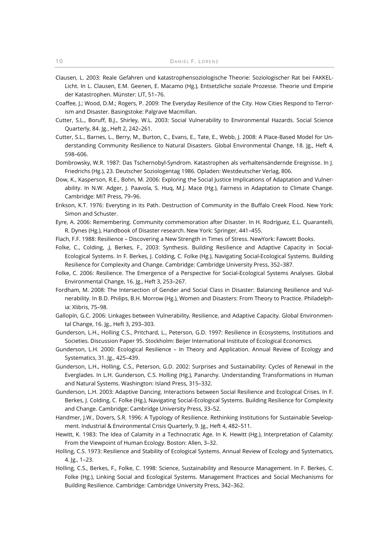- Clausen, L. 2003: Reale Gefahren und katastrophensoziologische Theorie: Soziologischer Rat bei FAKKEL-Licht. In L. Clausen, E.M. Geenen, E. Macamo (Hg.), Entsetzliche soziale Prozesse. Theorie und Empirie der Katastrophen. Münster: LIT, 51–76.
- Coaffee, J.; Wood, D.M.; Rogers, P. 2009: The Everyday Resilience of the City. How Cities Respond to Terrorism and Disaster. Basingstoke: Palgrave Macmillan.
- Cutter, S.L., Boruff, B.J., Shirley, W.L. 2003: Social Vulnerability to Environmental Hazards. Social Science Quarterly, 84. Jg., Heft 2, 242–261.
- Cutter, S.L., Barnes, L., Berry, M., Burton, C., Evans, E., Tate, E., Webb, J. 2008: A Place-Based Model for Understanding Community Resilience to Natural Disasters. Global Environmental Change, 18. Jg., Heft 4, 598–606.
- Dombrowsky, W.R. 1987: Das Tschernobyl-Syndrom. Katastrophen als verhaltensändernde Ereignisse. In J. Friedrichs (Hg.), 23. Deutscher Soziologentag 1986. Opladen: Westdeutscher Verlag, 806.
- Dow, K., Kasperson, R.E., Bohn, M. 2006: Exploring the Social Justice Implications of Adaptation and Vulnerability. In N.W. Adger, J. Paavola, S. Huq, M.J. Mace (Hg.), Fairness in Adaptation to Climate Change. Cambridge: MIT Press, 79–96.
- Erikson, K.T. 1976: Everyting in its Path. Destruction of Community in the Buffalo Creek Flood. New York: Simon and Schuster.
- Eyre, A. 2006: Remembering. Community commemoration after Disaster. In H. Rodríguez, E.L. Quarantelli, R. Dynes (Hg.), Handbook of Disaster research. New York: Springer, 441–455.
- Flach, F.F. 1988: Resilience Discovering a New Strength in Times of Stress. NewYork: Fawcett Books.
- Folke, C., Colding, .J, Berkes, F., 2003: Synthesis. Building Resilience and Adaptive Capacity in Social-Ecological Systems. In F. Berkes, J. Colding, C. Folke (Hg.), Navigating Social-Ecological Systems. Building Resilience for Complexity and Change. Cambridge: Cambridge University Press, 352–387.
- Folke, C. 2006: Resilience. The Emergence of a Perspective for Social-Ecological Systems Analyses. Global Environmental Change, 16. Jg., Heft 3, 253–267.
- Fordham, M. 2008: The Intersection of Gender and Social Class in Disaster: Balancing Resilience and Vulnerability. In B.D. Philips, B.H. Morrow (Hg.), Women and Disasters: From Theory to Practice. Philadelphia: Xlibris, 75–98.
- Gallopín, G.C. 2006: Linkages between Vulnerability, Resilience, and Adaptive Capacity. Global Environmental Change, 16. Jg., Heft 3, 293–303.
- Gunderson, L.H., Holling C.S., Pritchard, L., Peterson, G.D. 1997: Resilience in Ecosystems, Institutions and Societies. Discussion Paper 95. Stockholm: Beijer International Institute of Ecological Economics.
- Gunderson, L.H. 2000: Ecological Resilience In Theory and Application. Annual Review of Ecology and Systematics, 31. Jg., 425–439.
- Gunderson, L.H., Holling, C.S., Peterson, G.D. 2002: Surprises and Sustainability: Cycles of Renewal in the Everglades. In L.H. Gunderson, C.S. Holling (Hg.), Panarchy. Understanding Transformations in Human and Natural Systems. Washington: Island Press, 315–332.
- Gunderson, L.H. 2003: Adaptive Dancing. Interactions between Social Resilience and Ecological Crises. In F. Berkes, J. Colding, C. Folke (Hg.), Navigating Social-Ecological Systems. Building Resilience for Complexity and Change. Cambridge: Cambridge University Press, 33–52.
- Handmer, J.W., Dovers, S.R. 1996: A Typology of Resilience. Rethinking Institutions for Sustainable Sevelopment. Industrial & Environmental Crisis Quarterly, 9. Jg., Heft 4, 482–511.
- Hewitt, K. 1983: The Idea of Calamity in a Technocratic Age. In K. Hewitt (Hg.), Interpretation of Calamity: From the Viewpoint of Human Ecology. Boston: Allen, 3–32.
- Holling, C.S. 1973: Resilience and Stability of Ecological Systems. Annual Review of Ecology and Systematics, 4. Jg., 1–23.
- Holling, C.S., Berkes, F., Folke, C. 1998: Science, Sustainability and Resource Management. In F. Berkes, C. Folke (Hg.), Linking Social and Ecological Systems. Management Practices and Social Mechanisms for Building Resilience. Cambridge: Cambridge University Press, 342–362.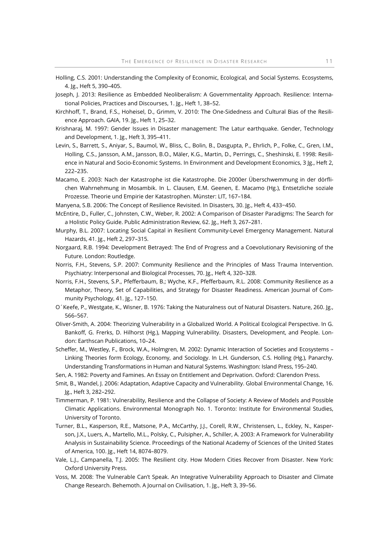- Holling, C.S. 2001: Understanding the Complexity of Economic, Ecological, and Social Systems. Ecosystems, 4. Jg., Heft 5, 390–405.
- Joseph, J. 2013: Resilience as Embedded Neoliberalism: A Governmentality Approach. Resilience: International Policies, Practices and Discourses, 1. Jg., Heft 1, 38–52.
- Kirchhoff, T., Brand, F.S., Hoheisel, D., Grimm, V. 2010: The One-Sidedness and Cultural Bias of the Resilience Approach. GAIA, 19. Jg., Heft 1, 25–32.
- Krishnaraj, M. 1997: Gender Issues in Disaster management: The Latur earthquake. Gender, Technology and Development, 1. Jg., Heft 3, 395–411.
- Levin, S., Barrett, S., Aniyar, S., Baumol, W., Bliss, C., Bolin, B., Dasgupta, P., Ehrlich, P., Folke, C., Gren, I.M., Holling, C.S., Jansson, A.M., Jansson, B.O., Mäler, K.G., Martin, D., Perrings, C., Sheshinski, E. 1998: Resilience in Natural and Socio-Economic Systems. In Environment and Development Economics, 3 Jg., Heft 2, 222–235.
- Macamo, E. 2003: Nach der Katastrophe ist die Katastrophe. Die 2000er Überschwemmung in der dörflichen Wahrnehmung in Mosambik. In L. Clausen, E.M. Geenen, E. Macamo (Hg.), Entsetzliche soziale Prozesse. Theorie und Empirie der Katastrophen. Münster: LIT, 167–184.
- Manyena, S.B. 2006: The Concept of Resilience Revisited. In Disasters, 30. Jg., Heft 4, 433−450.
- McEntire, D., Fuller, C., Johnsten, C.W., Weber, R. 2002: A Comparison of Disaster Paradigms: The Search for a Holistic Policy Guide. Public Administration Review, 62. Jg., Heft 3, 267–281.
- Murphy, B.L. 2007: Locating Social Capital in Resilient Community-Level Emergency Management. Natural Hazards, 41. Jg., Heft 2, 297–315.
- Norgaard, R.B. 1994: Development Betrayed: The End of Progress and a Coevolutionary Revisioning of the Future. London: Routledge.
- Norris, F.H., Stevens, S.P. 2007: Community Resilience and the Principles of Mass Trauma Intervention. Psychiatry: Interpersonal and Biological Processes, 70. Jg., Heft 4, 320–328.
- Norris, F.H., Stevens, S.P., Pfefferbaum, B.; Wyche, K.F., Pfefferbaum, R.L. 2008: Community Resilience as a Metaphor, Theory, Set of Capabilities, and Strategy for Disaster Readiness. American Journal of Community Psychology, 41. Jg., 127–150.
- O´Keefe, P., Westgate, K., Wisner, B. 1976: Taking the Naturalness out of Natural Disasters. Nature, 260. Jg., 566–567.
- Oliver-Smith, A. 2004: Theorizing Vulnerability in a Globalized World. A Political Ecological Perspective. In G. Bankoff, G. Frerks, D. Hilhorst (Hg.), Mapping Vulnerability. Disasters, Development, and People. London: Earthscan Publications, 10–24.
- Scheffer, M., Westley, F., Brock, W.A., Holmgren, M. 2002: Dynamic Interaction of Societies and Ecosystems Linking Theories form Ecology, Economy, and Sociology. In L.H. Gunderson, C.S. Holling (Hg.), Panarchy. Understanding Transformations in Human and Natural Systems. Washington: Island Press, 195–240.
- Sen, A. 1982: Poverty and Famines. An Essay on Entitlement and Deprivation. Oxford: Clarendon Press.
- Smit, B., Wandel, J. 2006: Adaptation, Adaptive Capacity and Vulnerability. Global Environmental Change, 16. Jg., Heft 3, 282–292.
- Timmerman, P. 1981: Vulnerability, Resilience and the Collapse of Society: A Review of Models and Possible Climatic Applications. Environmental Monograph No. 1. Toronto: Institute for Environmental Studies, University of Toronto.
- Turner, B.L., Kasperson, R.E., Matsone, P.A., McCarthy, J.J., Corell, R.W., Christensen, L., Eckley, N., Kasperson, J.X., Luers, A., Martello, M.L., Polsky, C., Pulsipher, A., Schiller, A. 2003: A Framework for Vulnerability Analysis in Sustainability Science. Proceedings of the National Academy of Sciences of the United States of America, 100. Jg., Heft 14, 8074–8079.
- Vale, L.J., Campanella, T.J. 2005: The Resilient city. How Modern Cities Recover from Disaster. New York: Oxford University Press.
- Voss, M. 2008: The Vulnerable Can't Speak. An Integrative Vulnerability Approach to Disaster and Climate Change Research. Behemoth. A Journal on Civilisation, 1. Jg., Heft 3, 39–56.